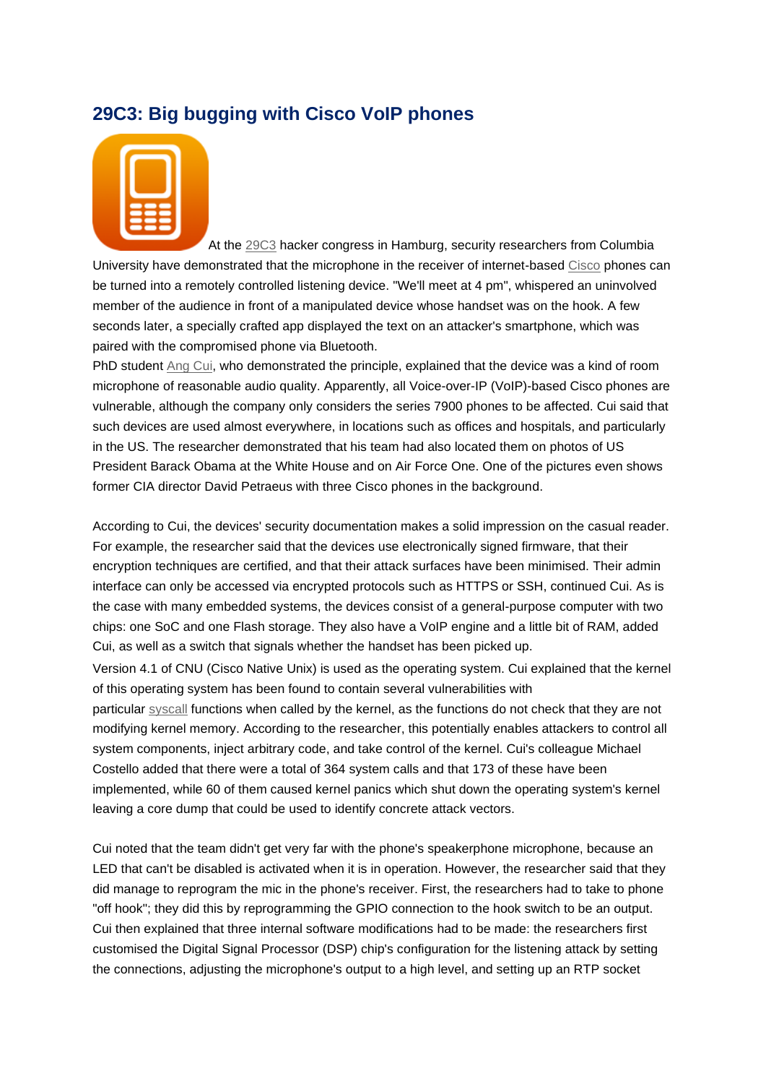## **29C3: Big bugging with Cisco VoIP phones**



At the [29C3](http://events.ccc.de/congress/2012/wiki/Main_Page) hacker congress in Hamburg, security researchers from Columbia University have demonstrated that the microphone in the receiver of internet-based [Cisco](http://www.cisco.com/) phones can be turned into a remotely controlled listening device. "We'll meet at 4 pm", whispered an uninvolved member of the audience in front of a manipulated device whose handset was on the hook. A few seconds later, a specially crafted app displayed the text on an attacker's smartphone, which was paired with the compromised phone via Bluetooth.

PhD student [Ang Cui,](http://ids.cs.columbia.edu/users/ang) who demonstrated the principle, explained that the device was a kind of room microphone of reasonable audio quality. Apparently, all Voice-over-IP (VoIP)-based Cisco phones are vulnerable, although the company only considers the series 7900 phones to be affected. Cui said that such devices are used almost everywhere, in locations such as offices and hospitals, and particularly in the US. The researcher demonstrated that his team had also located them on photos of US President Barack Obama at the White House and on Air Force One. One of the pictures even shows former CIA director David Petraeus with three Cisco phones in the background.

According to Cui, the devices' security documentation makes a solid impression on the casual reader. For example, the researcher said that the devices use electronically signed firmware, that their encryption techniques are certified, and that their attack surfaces have been minimised. Their admin interface can only be accessed via encrypted protocols such as HTTPS or SSH, continued Cui. As is the case with many embedded systems, the devices consist of a general-purpose computer with two chips: one SoC and one Flash storage. They also have a VoIP engine and a little bit of RAM, added Cui, as well as a switch that signals whether the handset has been picked up.

Version 4.1 of CNU (Cisco Native Unix) is used as the operating system. Cui explained that the kernel of this operating system has been found to contain several vulnerabilities with

particular [syscall](http://en.wikipedia.org/wiki/System_call) functions when called by the kernel, as the functions do not check that they are not modifying kernel memory. According to the researcher, this potentially enables attackers to control all system components, inject arbitrary code, and take control of the kernel. Cui's colleague Michael Costello added that there were a total of 364 system calls and that 173 of these have been implemented, while 60 of them caused kernel panics which shut down the operating system's kernel leaving a core dump that could be used to identify concrete attack vectors.

Cui noted that the team didn't get very far with the phone's speakerphone microphone, because an LED that can't be disabled is activated when it is in operation. However, the researcher said that they did manage to reprogram the mic in the phone's receiver. First, the researchers had to take to phone "off hook"; they did this by reprogramming the GPIO connection to the hook switch to be an output. Cui then explained that three internal software modifications had to be made: the researchers first customised the Digital Signal Processor (DSP) chip's configuration for the listening attack by setting the connections, adjusting the microphone's output to a high level, and setting up an RTP socket